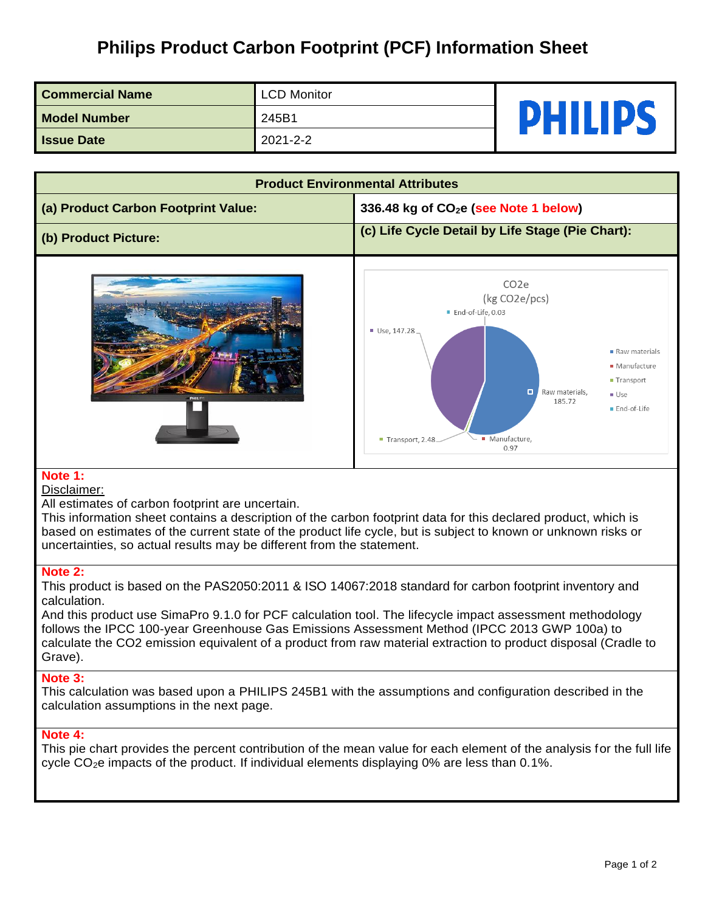# **Philips Product Carbon Footprint (PCF) Information Sheet**

| <b>Commercial Name</b> | <b>LCD Monitor</b> | <b>PHILIPS</b> |
|------------------------|--------------------|----------------|
| <b>Model Number</b>    | 245B1              |                |
| <b>Issue Date</b>      | 2021-2-2           |                |

| <b>Product Environmental Attributes</b> |                                                                                                                                                                                                                                                                              |  |  |  |
|-----------------------------------------|------------------------------------------------------------------------------------------------------------------------------------------------------------------------------------------------------------------------------------------------------------------------------|--|--|--|
| (a) Product Carbon Footprint Value:     | 336.48 kg of CO <sub>2</sub> e (see Note 1 below)                                                                                                                                                                                                                            |  |  |  |
| (b) Product Picture:                    | (c) Life Cycle Detail by Life Stage (Pie Chart):                                                                                                                                                                                                                             |  |  |  |
| <b>PHILIPS</b>                          | CO <sub>2</sub> e<br>(kg CO2e/pcs)<br>End-of-Life, 0.03<br>Use, 147.28<br>$\blacksquare$ Raw materials<br>• Manufacture<br>$\blacksquare$ Transport<br>$\Box$<br>Raw materials,<br>$\blacksquare$ Use<br>185.72<br>End-of-Life<br>· Manufacture,<br>Transport, 2.48.<br>0.97 |  |  |  |

## **Note 1:**

#### Disclaimer:

All estimates of carbon footprint are uncertain.

This information sheet contains a description of the carbon footprint data for this declared product, which is based on estimates of the current state of the product life cycle, but is subject to known or unknown risks or uncertainties, so actual results may be different from the statement.

### **Note 2:**

This product is based on the PAS2050:2011 & ISO 14067:2018 standard for carbon footprint inventory and calculation.

And this product use SimaPro 9.1.0 for PCF calculation tool. The lifecycle impact assessment methodology follows the IPCC 100-year Greenhouse Gas Emissions Assessment Method (IPCC 2013 GWP 100a) to calculate the CO2 emission equivalent of a product from raw material extraction to product disposal (Cradle to Grave).

#### **Note 3:**

This calculation was based upon a PHILIPS 245B1 with the assumptions and configuration described in the calculation assumptions in the next page.

## **Note 4:**

This pie chart provides the percent contribution of the mean value for each element of the analysis for the full life cycle  $CO<sub>2</sub>e$  impacts of the product. If individual elements displaying 0% are less than 0.1%.